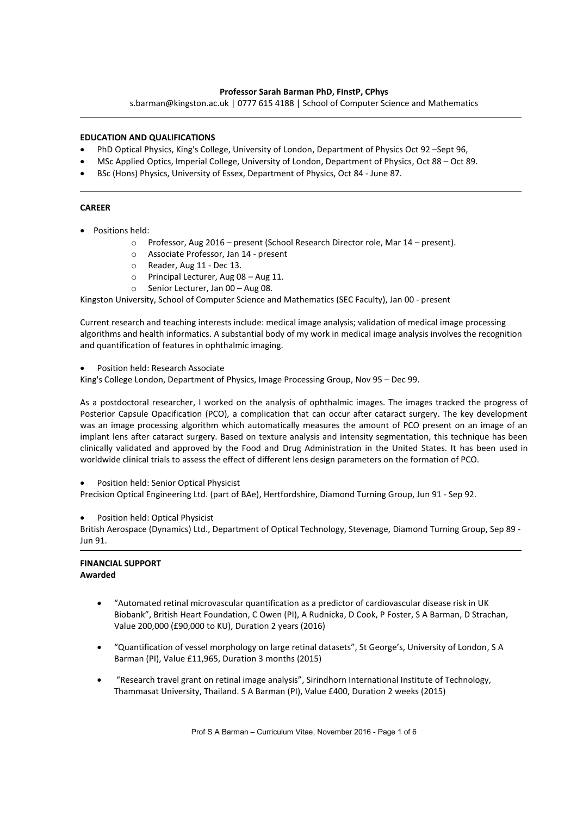### **Professor Sarah Barman PhD, FInstP, CPhys**

s.barman@kingston.ac.uk | 0777 615 4188 | School of Computer Science and Mathematics

### **EDUCATION AND QUALIFICATIONS**

- PhD Optical Physics, King's College, University of London, Department of Physics Oct 92 –Sept 96,
- x MSc Applied Optics, Imperial College, University of London, Department of Physics, Oct 88 Oct 89.
- BSc (Hons) Physics, University of Essex, Department of Physics, Oct 84 June 87.

### **CAREER**

- Positions held:
	- o Professor, Aug 2016 present (School Research Director role, Mar 14 present).
	- o Associate Professor, Jan 14 present
	- o Reader, Aug 11 Dec 13.
	- o Principal Lecturer, Aug 08 Aug 11.
	- o Senior Lecturer, Jan 00 Aug 08.

Kingston University, School of Computer Science and Mathematics (SEC Faculty), Jan 00 - present

Current research and teaching interests include: medical image analysis; validation of medical image processing algorithms and health informatics. A substantial body of my work in medical image analysis involves the recognition and quantification of features in ophthalmic imaging.

Position held: Research Associate

King's College London, Department of Physics, Image Processing Group, Nov 95 – Dec 99.

As a postdoctoral researcher, I worked on the analysis of ophthalmic images. The images tracked the progress of Posterior Capsule Opacification (PCO), a complication that can occur after cataract surgery. The key development was an image processing algorithm which automatically measures the amount of PCO present on an image of an implant lens after cataract surgery. Based on texture analysis and intensity segmentation, this technique has been clinically validated and approved by the Food and Drug Administration in the United States. It has been used in worldwide clinical trials to assess the effect of different lens design parameters on the formation of PCO.

Position held: Senior Optical Physicist

Precision Optical Engineering Ltd. (part of BAe), Hertfordshire, Diamond Turning Group, Jun 91 - Sep 92.

Position held: Optical Physicist

British Aerospace (Dynamics) Ltd., Department of Optical Technology, Stevenage, Diamond Turning Group, Sep 89 - Jun 91.

#### **FINANCIAL SUPPORT Awarded**

- x "Automated retinal microvascular quantification as a predictor of cardiovascular disease risk in UK Biobank", British Heart Foundation, C Owen (PI), A Rudnicka, D Cook, P Foster, S A Barman, D Strachan, Value 200,000 (£90,000 to KU), Duration 2 years (2016)
- x "Quantification of vessel morphology on large retinal datasets", St George's, University of London, S A Barman (PI), Value £11,965, Duration 3 months (2015)
- x "Research travel grant on retinal image analysis", Sirindhorn International Institute of Technology, Thammasat University, Thailand. S A Barman (PI), Value £400, Duration 2 weeks (2015)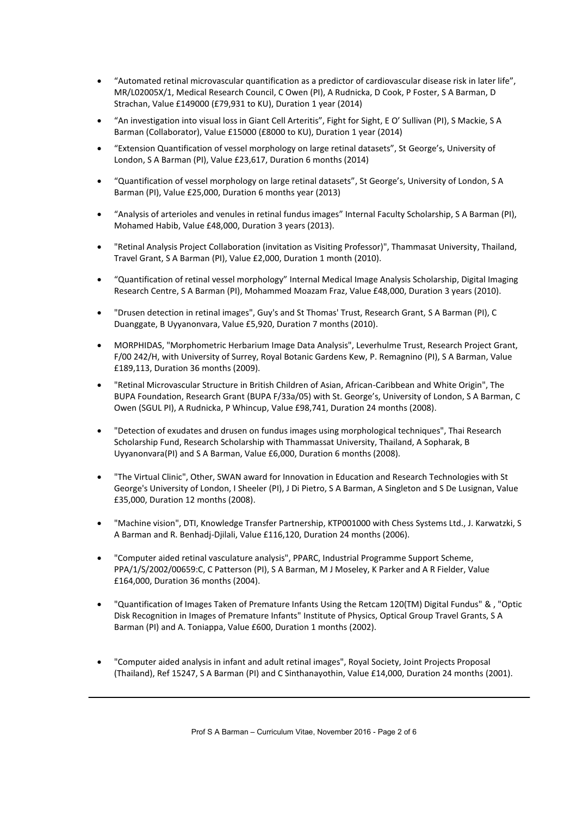- x "Automated retinal microvascular quantification as a predictor of cardiovascular disease risk in later life", MR/L02005X/1, Medical Research Council, C Owen (PI), A Rudnicka, D Cook, P Foster, S A Barman, D Strachan, Value £149000 (£79,931 to KU), Duration 1 year (2014)
- x "An investigation into visual loss in Giant Cell Arteritis", Fight for Sight, E O' Sullivan (PI), S Mackie, S A Barman (Collaborator), Value £15000 (£8000 to KU), Duration 1 year (2014)
- x "Extension Quantification of vessel morphology on large retinal datasets", St George's, University of London, S A Barman (PI), Value £23,617, Duration 6 months (2014)
- x "Quantification of vessel morphology on large retinal datasets", St George's, University of London, S A Barman (PI), Value £25,000, Duration 6 months year (2013)
- x "Analysis of arterioles and venules in retinal fundus images" Internal Faculty Scholarship, S A Barman (PI), Mohamed Habib, Value £48,000, Duration 3 years (2013).
- x "Retinal Analysis Project Collaboration (invitation as Visiting Professor)", Thammasat University, Thailand, Travel Grant, S A Barman (PI), Value £2,000, Duration 1 month (2010).
- x "Quantification of retinal vessel morphology" Internal Medical Image Analysis Scholarship, Digital Imaging Research Centre, S A Barman (PI), Mohammed Moazam Fraz, Value £48,000, Duration 3 years (2010).
- x "Drusen detection in retinal images", Guy's and St Thomas' Trust, Research Grant, S A Barman (PI), C Duanggate, B Uyyanonvara, Value £5,920, Duration 7 months (2010).
- x MORPHIDAS, "Morphometric Herbarium Image Data Analysis", Leverhulme Trust, Research Project Grant, F/00 242/H, with University of Surrey, Royal Botanic Gardens Kew, P. Remagnino (PI), S A Barman, Value £189,113, Duration 36 months (2009).
- x "Retinal Microvascular Structure in British Children of Asian, African-Caribbean and White Origin", The BUPA Foundation, Research Grant (BUPA F/33a/05) with St. George's, University of London, S A Barman, C Owen (SGUL PI), A Rudnicka, P Whincup, Value £98,741, Duration 24 months (2008).
- "Detection of exudates and drusen on fundus images using morphological techniques", Thai Research Scholarship Fund, Research Scholarship with Thammassat University, Thailand, A Sopharak, B Uyyanonvara(PI) and S A Barman, Value £6,000, Duration 6 months (2008).
- "The Virtual Clinic", Other, SWAN award for Innovation in Education and Research Technologies with St George's University of London, I Sheeler (PI), J Di Pietro, S A Barman, A Singleton and S De Lusignan, Value £35,000, Duration 12 months (2008).
- x "Machine vision", DTI, Knowledge Transfer Partnership, KTP001000 with Chess Systems Ltd., J. Karwatzki, S A Barman and R. Benhadj-Djilali, Value £116,120, Duration 24 months (2006).
- x "Computer aided retinal vasculature analysis", PPARC, Industrial Programme Support Scheme, PPA/1/S/2002/00659:C, C Patterson (PI), S A Barman, M J Moseley, K Parker and A R Fielder, Value £164,000, Duration 36 months (2004).
- "Quantification of Images Taken of Premature Infants Using the Retcam 120(TM) Digital Fundus" & , "Optic Disk Recognition in Images of Premature Infants" Institute of Physics, Optical Group Travel Grants, S A Barman (PI) and A. Toniappa, Value £600, Duration 1 months (2002).
- x "Computer aided analysis in infant and adult retinal images", Royal Society, Joint Projects Proposal (Thailand), Ref 15247, S A Barman (PI) and C Sinthanayothin, Value £14,000, Duration 24 months (2001).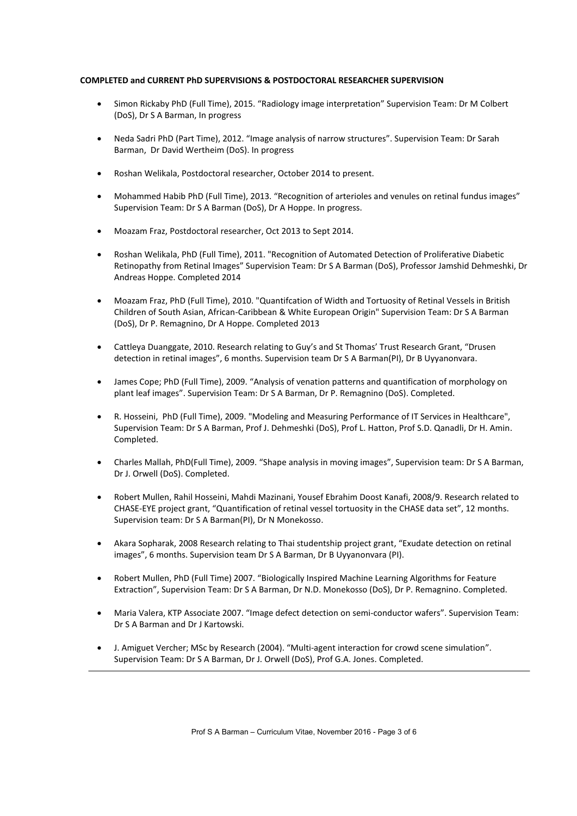### **COMPLETED and CURRENT PhD SUPERVISIONS & POSTDOCTORAL RESEARCHER SUPERVISION**

- x Simon Rickaby PhD (Full Time), 2015. "Radiology image interpretation" Supervision Team: Dr M Colbert (DoS), Dr S A Barman, In progress
- x Neda Sadri PhD (Part Time), 2012. "Image analysis of narrow structures". Supervision Team: Dr Sarah Barman, Dr David Wertheim (DoS). In progress
- Roshan Welikala, Postdoctoral researcher, October 2014 to present.
- x Mohammed Habib PhD (Full Time), 2013. "Recognition of arterioles and venules on retinal fundus images" Supervision Team: Dr S A Barman (DoS), Dr A Hoppe. In progress.
- x Moazam Fraz, Postdoctoral researcher, Oct 2013 to Sept 2014.
- x Roshan Welikala, PhD (Full Time), 2011. "Recognition of Automated Detection of Proliferative Diabetic Retinopathy from Retinal Images" Supervision Team: Dr S A Barman (DoS), Professor Jamshid Dehmeshki, Dr Andreas Hoppe. Completed 2014
- x Moazam Fraz, PhD (Full Time), 2010. "Quantifcation of Width and Tortuosity of Retinal Vessels in British Children of South Asian, African-Caribbean & White European Origin" Supervision Team: Dr S A Barman (DoS), Dr P. Remagnino, Dr A Hoppe. Completed 2013
- Cattleya Duanggate, 2010. Research relating to Guy's and St Thomas' Trust Research Grant, "Drusen detection in retinal images", 6 months. Supervision team Dr S A Barman(PI), Dr B Uyyanonvara.
- James Cope; PhD (Full Time), 2009. "Analysis of venation patterns and quantification of morphology on plant leaf images". Supervision Team: Dr S A Barman, Dr P. Remagnino (DoS). Completed.
- x R. Hosseini, PhD (Full Time), 2009. "Modeling and Measuring Performance of IT Services in Healthcare", Supervision Team: Dr S A Barman, Prof J. Dehmeshki (DoS), Prof L. Hatton, Prof S.D. Qanadli, Dr H. Amin. Completed.
- x Charles Mallah, PhD(Full Time), 2009. "Shape analysis in moving images", Supervision team: Dr S A Barman, Dr J. Orwell (DoS). Completed.
- x Robert Mullen, Rahil Hosseini, Mahdi Mazinani, Yousef Ebrahim Doost Kanafi, 2008/9. Research related to CHASE-EYE project grant, "Quantification of retinal vessel tortuosity in the CHASE data set", 12 months. Supervision team: Dr S A Barman(PI), Dr N Monekosso.
- x Akara Sopharak, 2008 Research relating to Thai studentship project grant, "Exudate detection on retinal images", 6 months. Supervision team Dr S A Barman, Dr B Uyyanonvara (PI).
- x Robert Mullen, PhD (Full Time) 2007. "Biologically Inspired Machine Learning Algorithms for Feature Extraction", Supervision Team: Dr S A Barman, Dr N.D. Monekosso (DoS), Dr P. Remagnino. Completed.
- x Maria Valera, KTP Associate 2007. "Image defect detection on semi-conductor wafers". Supervision Team: Dr S A Barman and Dr J Kartowski.
- J. Amiguet Vercher; MSc by Research (2004). "Multi-agent interaction for crowd scene simulation". Supervision Team: Dr S A Barman, Dr J. Orwell (DoS), Prof G.A. Jones. Completed.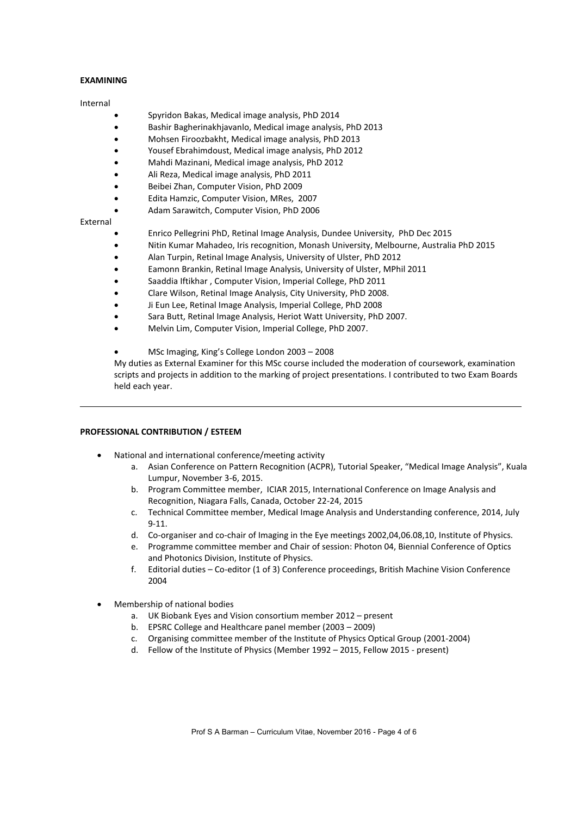### **EXAMINING**

#### Internal

- Spyridon Bakas, Medical image analysis, PhD 2014
- Bashir Bagherinakhjavanlo, Medical image analysis, PhD 2013
- x Mohsen Firoozbakht, Medical image analysis, PhD 2013
- x Yousef Ebrahimdoust, Medical image analysis, PhD 2012
- x Mahdi Mazinani, Medical image analysis, PhD 2012
- x Ali Reza, Medical image analysis, PhD 2011
- Beibei Zhan, Computer Vision, PhD 2009
- x Edita Hamzic, Computer Vision, MRes, 2007
	- Adam Sarawitch, Computer Vision, PhD 2006

#### External

- Enrico Pellegrini PhD, Retinal Image Analysis, Dundee University, PhD Dec 2015
- Nitin Kumar Mahadeo, Iris recognition, Monash University, Melbourne, Australia PhD 2015
- x Alan Turpin, Retinal Image Analysis, University of Ulster, PhD 2012
- Eamonn Brankin, Retinal Image Analysis, University of Ulster, MPhil 2011
- Saaddia Iftikhar, Computer Vision, Imperial College, PhD 2011
- x Clare Wilson, Retinal Image Analysis, City University, PhD 2008.
- Ji Eun Lee, Retinal Image Analysis, Imperial College, PhD 2008
- Sara Butt, Retinal Image Analysis, Heriot Watt University, PhD 2007.
- x Melvin Lim, Computer Vision, Imperial College, PhD 2007.
- x MSc Imaging, King's College London 2003 2008

My duties as External Examiner for this MSc course included the moderation of coursework, examination scripts and projects in addition to the marking of project presentations. I contributed to two Exam Boards held each year.

#### **PROFESSIONAL CONTRIBUTION / ESTEEM**

- National and international conference/meeting activity
	- a. Asian Conference on Pattern Recognition (ACPR), Tutorial Speaker, "Medical Image Analysis", Kuala Lumpur, November 3-6, 2015.
	- b. Program Committee member, ICIAR 2015, International Conference on Image Analysis and Recognition, Niagara Falls, Canada, October 22-24, 2015
	- c. Technical Committee member, Medical Image Analysis and Understanding conference, 2014, July 9-11.
	- d. Co-organiser and co-chair of Imaging in the Eye meetings 2002,04,06.08,10, Institute of Physics.
	- e. Programme committee member and Chair of session: Photon 04, Biennial Conference of Optics and Photonics Division, Institute of Physics.
	- f. Editorial duties Co-editor (1 of 3) Conference proceedings, British Machine Vision Conference 2004
- x Membership of national bodies
	- a. UK Biobank Eyes and Vision consortium member 2012 present
	- b. EPSRC College and Healthcare panel member (2003 2009)
	- c. Organising committee member of the Institute of Physics Optical Group (2001-2004)
	- d. Fellow of the Institute of Physics (Member 1992 2015, Fellow 2015 present)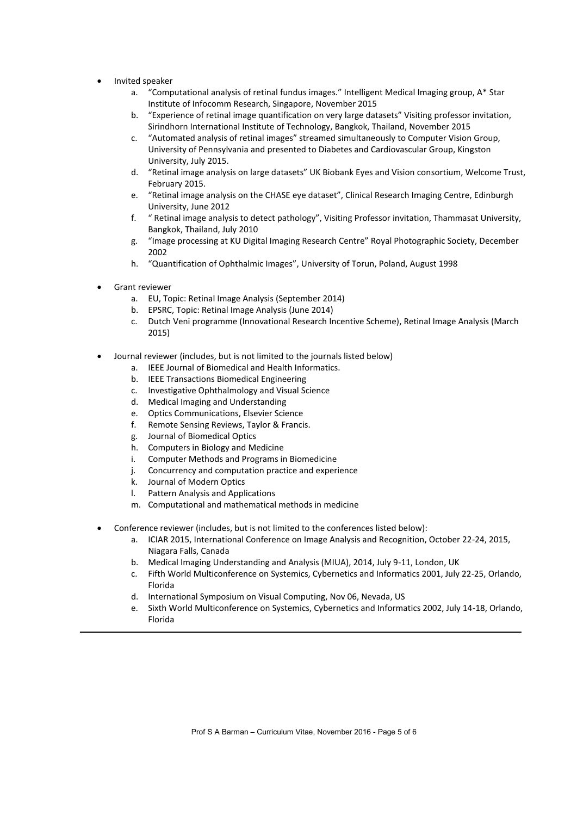- Invited speaker
	- a. "Computational analysis of retinal fundus images." Intelligent Medical Imaging group, A\* Star Institute of Infocomm Research, Singapore, November 2015
	- b. "Experience of retinal image quantification on very large datasets" Visiting professor invitation, Sirindhorn International Institute of Technology, Bangkok, Thailand, November 2015
	- c. "Automated analysis of retinal images" streamed simultaneously to Computer Vision Group, University of Pennsylvania and presented to Diabetes and Cardiovascular Group, Kingston University, July 2015.
	- d. "Retinal image analysis on large datasets" UK Biobank Eyes and Vision consortium, Welcome Trust, February 2015.
	- e. "Retinal image analysis on the CHASE eye dataset", Clinical Research Imaging Centre, Edinburgh University, June 2012
	- f. " Retinal image analysis to detect pathology", Visiting Professor invitation, Thammasat University, Bangkok, Thailand, July 2010
	- g. "Image processing at KU Digital Imaging Research Centre" Royal Photographic Society, December 2002
	- h. "Quantification of Ophthalmic Images", University of Torun, Poland, August 1998
- x Grant reviewer
	- a. EU, Topic: Retinal Image Analysis (September 2014)
	- b. EPSRC, Topic: Retinal Image Analysis (June 2014)
	- c. Dutch Veni programme (Innovational Research Incentive Scheme), Retinal Image Analysis (March 2015)
- Journal reviewer (includes, but is not limited to the journals listed below)
	- a. IEEE Journal of Biomedical and Health Informatics.
	- b. IEEE Transactions Biomedical Engineering
	- c. Investigative Ophthalmology and Visual Science
	- d. Medical Imaging and Understanding
	- e. Optics Communications, Elsevier Science
	- f. Remote Sensing Reviews, Taylor & Francis.
	- g. Journal of Biomedical Optics
	- h. Computers in Biology and Medicine
	- i. Computer Methods and Programs in Biomedicine
	- j. Concurrency and computation practice and experience
	- k. Journal of Modern Optics
	- l. Pattern Analysis and Applications
	- m. Computational and mathematical methods in medicine
- Conference reviewer (includes, but is not limited to the conferences listed below):
	- a. ICIAR 2015, International Conference on Image Analysis and Recognition, October 22-24, 2015, Niagara Falls, Canada
	- b. Medical Imaging Understanding and Analysis (MIUA), 2014, July 9-11, London, UK
	- c. Fifth World Multiconference on Systemics, Cybernetics and Informatics 2001, July 22-25, Orlando, Florida
	- d. International Symposium on Visual Computing, Nov 06, Nevada, US
	- e. Sixth World Multiconference on Systemics, Cybernetics and Informatics 2002, July 14-18, Orlando, Florida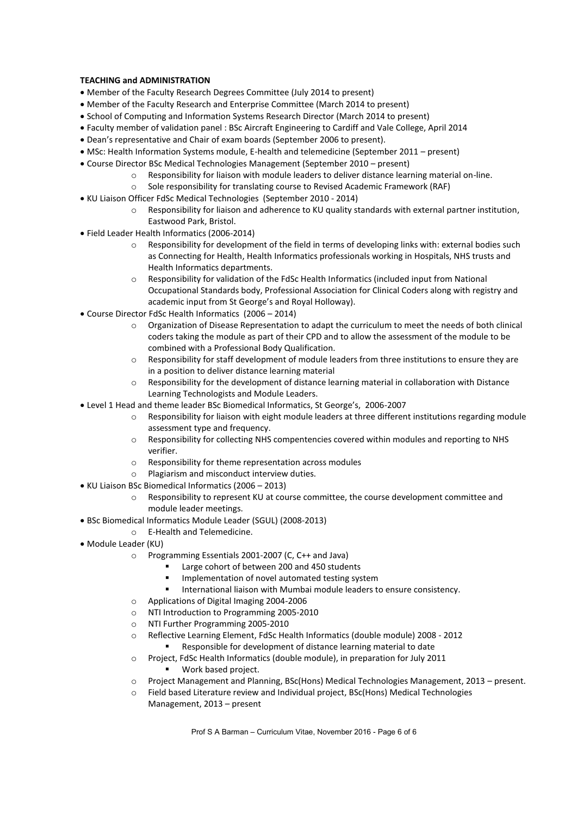# **TEACHING and ADMINISTRATION**

- Member of the Faculty Research Degrees Committee (July 2014 to present)
- x Member of the Faculty Research and Enterprise Committee (March 2014 to present)
- School of Computing and Information Systems Research Director (March 2014 to present)
- x Faculty member of validation panel : BSc Aircraft Engineering to Cardiff and Vale College, April 2014
- Dean's representative and Chair of exam boards (September 2006 to present).
- MSc: Health Information Systems module, E-health and telemedicine (September 2011 present)
- Course Director BSc Medical Technologies Management (September 2010 present)
	- o Responsibility for liaison with module leaders to deliver distance learning material on-line.
	- o Sole responsibility for translating course to Revised Academic Framework (RAF)
- KU Liaison Officer FdSc Medical Technologies (September 2010 2014)
	- o Responsibility for liaison and adherence to KU quality standards with external partner institution, Eastwood Park, Bristol.
- x Field Leader Health Informatics (2006-2014)
	- o Responsibility for development of the field in terms of developing links with: external bodies such as Connecting for Health, Health Informatics professionals working in Hospitals, NHS trusts and Health Informatics departments.
	- o Responsibility for validation of the FdSc Health Informatics (included input from National Occupational Standards body, Professional Association for Clinical Coders along with registry and academic input from St George's and Royal Holloway).
- x Course Director FdSc Health Informatics (2006 2014)
	- o Organization of Disease Representation to adapt the curriculum to meet the needs of both clinical coders taking the module as part of their CPD and to allow the assessment of the module to be combined with a Professional Body Qualification.
	- o Responsibility for staff development of module leaders from three institutions to ensure they are in a position to deliver distance learning material
	- o Responsibility for the development of distance learning material in collaboration with Distance Learning Technologists and Module Leaders.
- x Level 1 Head and theme leader BSc Biomedical Informatics, St George's, 2006-2007
	- o Responsibility for liaison with eight module leaders at three different institutions regarding module assessment type and frequency.
	- o Responsibility for collecting NHS compentencies covered within modules and reporting to NHS verifier.
	- o Responsibility for theme representation across modules
	- o Plagiarism and misconduct interview duties.
- KU Liaison BSc Biomedical Informatics (2006 2013)
	- o Responsibility to represent KU at course committee, the course development committee and module leader meetings.
- BSc Biomedical Informatics Module Leader (SGUL) (2008-2013)
	- o E-Health and Telemedicine.
- Module Leader (KU)
	- o Programming Essentials 2001-2007 (C, C++ and Java)
		- Large cohort of between 200 and 450 students
		- **Implementation of novel automated testing system**
		- International liaison with Mumbai module leaders to ensure consistency.
	- o Applications of Digital Imaging 2004-2006
	- o NTI Introduction to Programming 2005-2010
	- o NTI Further Programming 2005-2010
	- o Reflective Learning Element, FdSc Health Informatics (double module) 2008 2012 Responsible for development of distance learning material to date
	- o Project, FdSc Health Informatics (double module), in preparation for July 2011 Work based project.
	- o Project Management and Planning, BSc(Hons) Medical Technologies Management, 2013 present.
	- o Field based Literature review and Individual project, BSc(Hons) Medical Technologies Management, 2013 – present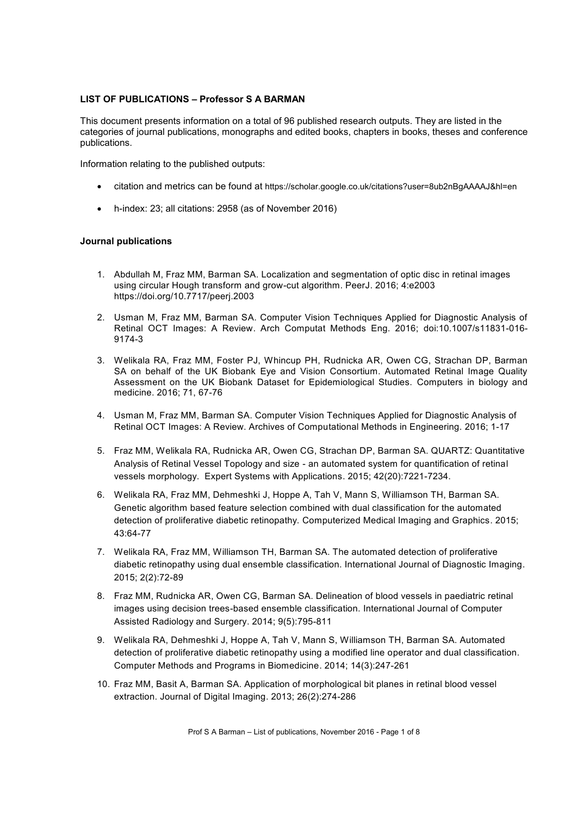# **LIST OF PUBLICATIONS – Professor S A BARMAN**

This document presents information on a total of 96 published research outputs. They are listed in the categories of journal publications, monographs and edited books, chapters in books, theses and conference publications.

Information relating to the published outputs:

- x citation and metrics can be found at https://scholar.google.co.uk/citations?user=8ub2nBgAAAAJ&hl=en
- x h-index: 23; all citations: 2958 (as of November 2016)

## **Journal publications**

- 1. Abdullah M, Fraz MM, Barman SA. Localization and segmentation of optic disc in retinal images using circular Hough transform and grow-cut algorithm. PeerJ. 2016; 4:e2003 https://doi.org/10.7717/peerj.2003
- 2. Usman M, Fraz MM, Barman SA. Computer Vision Techniques Applied for Diagnostic Analysis of Retinal OCT Images: A Review. Arch Computat Methods Eng. 2016; doi:10.1007/s11831-016- 9174-3
- 3. Welikala RA, Fraz MM, Foster PJ, Whincup PH, Rudnicka AR, Owen CG, Strachan DP, Barman SA on behalf of the UK Biobank Eye and Vision Consortium. Automated Retinal Image Quality Assessment on the UK Biobank Dataset for Epidemiological Studies. Computers in biology and medicine. 2016; 71, 67-76
- 4. Usman M, Fraz MM, Barman SA. Computer Vision Techniques Applied for Diagnostic Analysis of Retinal OCT Images: A Review. Archives of Computational Methods in Engineering. 2016; 1-17
- 5. Fraz MM, Welikala RA, Rudnicka AR, Owen CG, Strachan DP, Barman SA. QUARTZ: Quantitative Analysis of Retinal Vessel Topology and size - an automated system for quantification of retinal vessels morphology. Expert Systems with Applications. 2015; 42(20):7221-7234.
- 6. Welikala RA, Fraz MM, Dehmeshki J, Hoppe A, Tah V, Mann S, Williamson TH, Barman SA. Genetic algorithm based feature selection combined with dual classification for the automated detection of proliferative diabetic retinopathy. Computerized Medical Imaging and Graphics. 2015; 43:64-77
- 7. Welikala RA, Fraz MM, Williamson TH, Barman SA. The automated detection of proliferative diabetic retinopathy using dual ensemble classification. International Journal of Diagnostic Imaging. 2015; 2(2):72-89
- 8. Fraz MM, Rudnicka AR, Owen CG, Barman SA. Delineation of blood vessels in paediatric retinal images using decision trees-based ensemble classification. International Journal of Computer Assisted Radiology and Surgery. 2014; 9(5):795-811
- 9. Welikala RA, Dehmeshki J, Hoppe A, Tah V, Mann S, Williamson TH, Barman SA. Automated detection of proliferative diabetic retinopathy using a modified line operator and dual classification. Computer Methods and Programs in Biomedicine. 2014; 14(3):247-261
- 10. Fraz MM, Basit A, Barman SA. Application of morphological bit planes in retinal blood vessel extraction. Journal of Digital Imaging. 2013; 26(2):274-286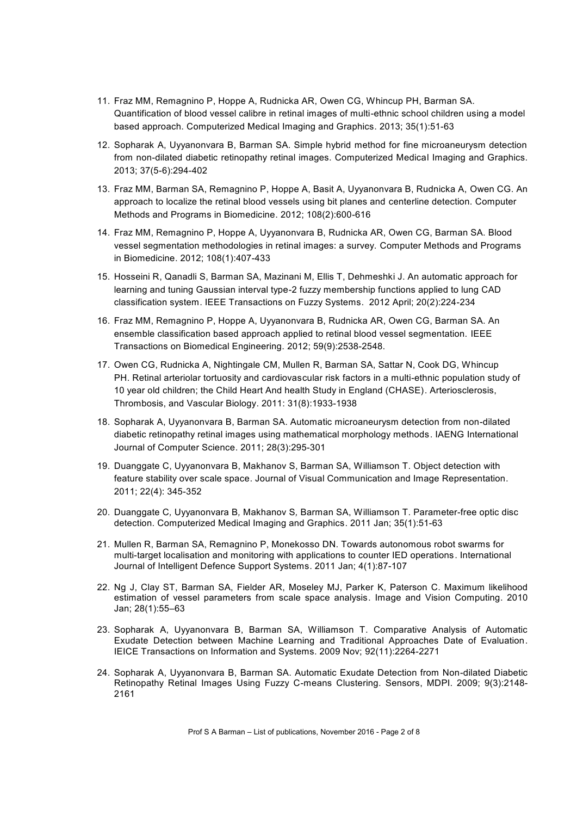- 11. Fraz MM, Remagnino P, Hoppe A, Rudnicka AR, Owen CG, Whincup PH, Barman SA. Quantification of blood vessel calibre in retinal images of multi-ethnic school children using a model based approach. Computerized Medical Imaging and Graphics. 2013; 35(1):51-63
- 12. Sopharak A, Uyyanonvara B, Barman SA. Simple hybrid method for fine microaneurysm detection from non-dilated diabetic retinopathy retinal images. Computerized Medical Imaging and Graphics. 2013; 37(5-6):294-402
- 13. Fraz MM, Barman SA, Remagnino P, Hoppe A, Basit A, Uyyanonvara B, Rudnicka A, Owen CG. An approach to localize the retinal blood vessels using bit planes and centerline detection. Computer Methods and Programs in Biomedicine. 2012; 108(2):600-616
- 14. Fraz MM, Remagnino P, Hoppe A, Uyyanonvara B, Rudnicka AR, Owen CG, Barman SA. Blood vessel segmentation methodologies in retinal images: a survey. Computer Methods and Programs in Biomedicine. 2012; 108(1):407-433
- 15. Hosseini R, Qanadli S, Barman SA, Mazinani M, Ellis T, Dehmeshki J. An automatic approach for learning and tuning Gaussian interval type-2 fuzzy membership functions applied to lung CAD classification system. IEEE Transactions on Fuzzy Systems. 2012 April; 20(2):224-234
- 16. Fraz MM, Remagnino P, Hoppe A, Uyyanonvara B, Rudnicka AR, Owen CG, Barman SA. An ensemble classification based approach applied to retinal blood vessel segmentation. IEEE Transactions on Biomedical Engineering. 2012; 59(9):2538-2548.
- 17. Owen CG, Rudnicka A, Nightingale CM, Mullen R, Barman SA, Sattar N, Cook DG, Whincup PH. Retinal arteriolar tortuosity and cardiovascular risk factors in a multi-ethnic population study of 10 year old children; the Child Heart And health Study in England (CHASE). Arteriosclerosis, Thrombosis, and Vascular Biology. 2011: 31(8):1933-1938
- 18. Sopharak A, Uyyanonvara B, Barman SA. Automatic microaneurysm detection from non-dilated diabetic retinopathy retinal images using mathematical morphology methods. IAENG International Journal of Computer Science. 2011; 28(3):295-301
- 19. Duanggate C, Uyyanonvara B, Makhanov S, Barman SA, Williamson T. Object detection with feature stability over scale space. Journal of Visual Communication and Image Representation. 2011; 22(4): 345-352
- 20. Duanggate C*,* Uyyanonvara B*,* Makhanov S*,* Barman SA, Williamson T. Parameter-free optic disc detection. Computerized Medical Imaging and Graphics. 2011 Jan; 35(1):51-63
- 21. Mullen R, Barman SA, Remagnino P, Monekosso DN. Towards autonomous robot swarms for multi-target localisation and monitoring with applications to counter IED operations. International Journal of Intelligent Defence Support Systems. 2011 Jan; 4(1):87-107
- 22. Ng J, Clay ST, Barman SA, Fielder AR, Moseley MJ, Parker K, Paterson C. Maximum likelihood estimation of vessel parameters from scale space analysis. Image and Vision Computing. 2010 Jan; 28(1):55–63
- 23. Sopharak A, Uyyanonvara B, Barman SA, Williamson T. Comparative Analysis of Automatic Exudate Detection between Machine Learning and Traditional Approaches Date of Evaluation. IEICE Transactions on Information and Systems. 2009 Nov; 92(11):2264-2271
- 24. Sopharak A, Uyyanonvara B, Barman SA. Automatic Exudate Detection from Non-dilated Diabetic Retinopathy Retinal Images Using Fuzzy C-means Clustering. Sensors, MDPI. 2009; 9(3):2148- 2161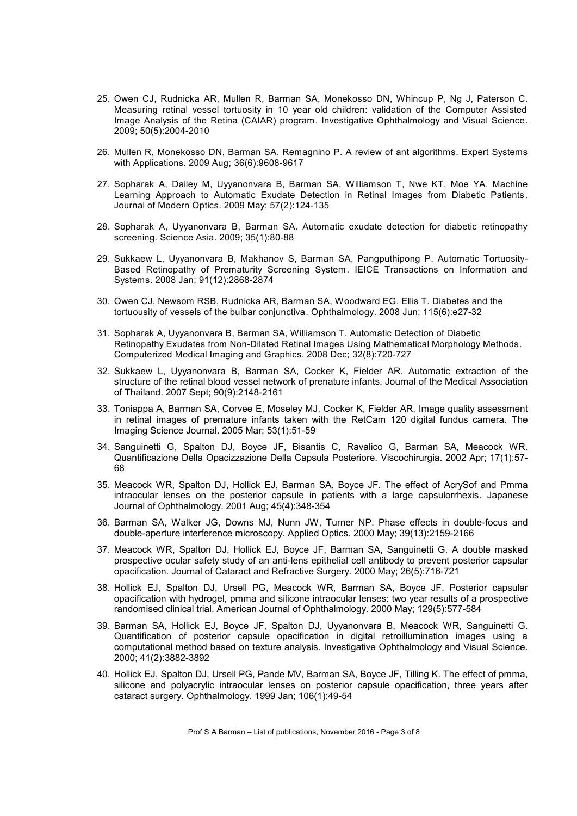- 25. Owen CJ, Rudnicka AR, Mullen R, Barman SA, Monekosso DN, Whincup P, Ng J, Paterson C. Measuring retinal vessel tortuosity in 10 year old children: validation of the Computer Assisted Image Analysis of the Retina (CAIAR) program. Investigative Ophthalmology and Visual Science. 2009; 50(5):2004-2010
- 26. Mullen R, Monekosso DN, Barman SA, Remagnino P. A review of ant algorithms. Expert Systems with Applications. 2009 Aug; 36(6):9608-9617
- 27. Sopharak A, Dailey M, Uyyanonvara B, Barman SA, Williamson T, Nwe KT, Moe YA. Machine Learning Approach to Automatic Exudate Detection in Retinal Images from Diabetic Patients. Journal of Modern Optics. 2009 May; 57(2):124-135
- 28. Sopharak A, Uyyanonvara B, Barman SA. Automatic exudate detection for diabetic retinopathy screening. Science Asia. 2009; 35(1):80-88
- 29. Sukkaew L, Uyyanonvara B, Makhanov S, Barman SA, Pangputhipong P. Automatic Tortuosity-Based Retinopathy of Prematurity Screening System. IEICE Transactions on Information and Systems. 2008 Jan; 91(12):2868-2874
- 30. Owen CJ, Newsom RSB, Rudnicka AR, Barman SA, Woodward EG, Ellis T. Diabetes and the tortuousity of vessels of the bulbar conjunctiva. Ophthalmology. 2008 Jun; 115(6):e27-32
- 31. Sopharak A, Uyyanonvara B, Barman SA, Williamson T. Automatic Detection of Diabetic Retinopathy Exudates from Non-Dilated Retinal Images Using Mathematical Morphology Methods. Computerized Medical Imaging and Graphics. 2008 Dec; 32(8):720-727
- 32. Sukkaew L, Uyyanonvara B, Barman SA, Cocker K, Fielder AR. Automatic extraction of the structure of the retinal blood vessel network of prenature infants. Journal of the Medical Association of Thailand. 2007 Sept; 90(9):2148-2161
- 33. Toniappa A, Barman SA, Corvee E, Moseley MJ, Cocker K, Fielder AR, Image quality assessment in retinal images of premature infants taken with the RetCam 120 digital fundus camera. The Imaging Science Journal. 2005 Mar; 53(1):51-59
- 34. Sanguinetti G, Spalton DJ, Boyce JF, Bisantis C, Ravalico G, Barman SA, Meacock WR. Quantificazione Della Opacizzazione Della Capsula Posteriore. Viscochirurgia. 2002 Apr; 17(1):57- 68
- 35. Meacock WR, Spalton DJ, Hollick EJ, Barman SA, Boyce JF. The effect of AcrySof and Pmma intraocular lenses on the posterior capsule in patients with a large capsulorrhexis. Japanese Journal of Ophthalmology. 2001 Aug; 45(4):348-354
- 36. Barman SA, Walker JG, Downs MJ, Nunn JW, Turner NP. Phase effects in double-focus and double-aperture interference microscopy. Applied Optics. 2000 May; 39(13):2159-2166
- 37. Meacock WR, Spalton DJ, Hollick EJ, Boyce JF, Barman SA, Sanguinetti G. A double masked prospective ocular safety study of an anti-lens epithelial cell antibody to prevent posterior capsular opacification. Journal of Cataract and Refractive Surgery. 2000 May; 26(5):716-721
- 38. Hollick EJ, Spalton DJ, Ursell PG, Meacock WR, Barman SA, Boyce JF. Posterior capsular opacification with hydrogel, pmma and silicone intraocular lenses: two year results of a prospective randomised clinical trial. American Journal of Ophthalmology. 2000 May; 129(5):577-584
- 39. Barman SA, Hollick EJ, Boyce JF, Spalton DJ, Uyyanonvara B, Meacock WR, Sanguinetti G. Quantification of posterior capsule opacification in digital retroillumination images using a computational method based on texture analysis. Investigative Ophthalmology and Visual Science. 2000; 41(2):3882-3892
- 40. Hollick EJ, Spalton DJ, Ursell PG, Pande MV, Barman SA, Boyce JF, Tilling K. The effect of pmma, silicone and polyacrylic intraocular lenses on posterior capsule opacification, three years after cataract surgery. Ophthalmology. 1999 Jan; 106(1):49-54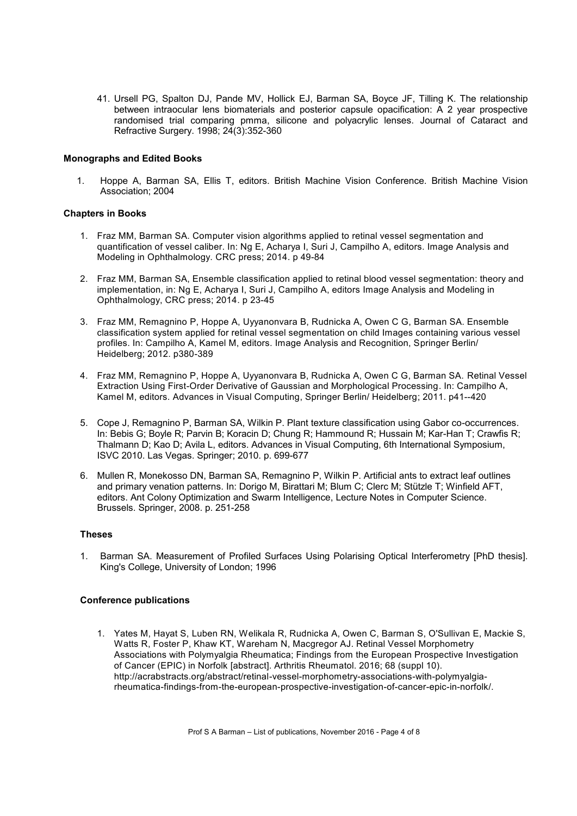41. Ursell PG, Spalton DJ, Pande MV, Hollick EJ, Barman SA, Boyce JF, Tilling K. The relationship between intraocular lens biomaterials and posterior capsule opacification: A 2 year prospective randomised trial comparing pmma, silicone and polyacrylic lenses. Journal of Cataract and Refractive Surgery. 1998; 24(3):352-360

## **Monographs and Edited Books**

1. Hoppe A, Barman SA, Ellis T, editors. British Machine Vision Conference. British Machine Vision Association; 2004

# **Chapters in Books**

- 1. Fraz MM, Barman SA. Computer vision algorithms applied to retinal vessel segmentation and quantification of vessel caliber. In: Ng E, Acharya I, Suri J, Campilho A, editors. Image Analysis and Modeling in Ophthalmology. CRC press; 2014. p 49-84
- 2. Fraz MM, Barman SA, Ensemble classification applied to retinal blood vessel segmentation: theory and implementation, in: Ng E, Acharya I, Suri J, Campilho A, editors Image Analysis and Modeling in Ophthalmology, CRC press; 2014. p 23-45
- 3. Fraz MM, Remagnino P, Hoppe A, Uyyanonvara B, Rudnicka A, Owen C G, Barman SA. Ensemble classification system applied for retinal vessel segmentation on child Images containing various vessel profiles. In: Campilho A, Kamel M, editors. Image Analysis and Recognition, Springer Berlin/ Heidelberg; 2012. p380-389
- 4. Fraz MM, Remagnino P, Hoppe A, Uyyanonvara B, Rudnicka A, Owen C G, Barman SA. Retinal Vessel Extraction Using First-Order Derivative of Gaussian and Morphological Processing. In: Campilho A, Kamel M, editors. Advances in Visual Computing, Springer Berlin/ Heidelberg; 2011. p41--420
- 5. Cope J, Remagnino P, Barman SA, Wilkin P. Plant texture classification using Gabor co-occurrences. In: Bebis G; Boyle R; Parvin B; Koracin D; Chung R; Hammound R; Hussain M; Kar-Han T; Crawfis R; Thalmann D; Kao D; Avila L, editors. Advances in Visual Computing, 6th International Symposium, ISVC 2010. Las Vegas. Springer; 2010. p. 699-677
- 6. Mullen R, Monekosso DN, Barman SA, Remagnino P, Wilkin P. Artificial ants to extract leaf outlines and primary venation patterns. In: Dorigo M, Birattari M; Blum C; Clerc M; Stützle T; Winfield AFT, editors. Ant Colony Optimization and Swarm Intelligence, Lecture Notes in Computer Science. Brussels. Springer, 2008. p. 251-258

## **Theses**

1. Barman SA. Measurement of Profiled Surfaces Using Polarising Optical Interferometry [PhD thesis]. King's College, University of London; 1996

## **Conference publications**

1. Yates M, Hayat S, Luben RN, Welikala R, Rudnicka A, Owen C, Barman S, O'Sullivan E, Mackie S, Watts R, Foster P, Khaw KT, Wareham N, Macgregor AJ. Retinal Vessel Morphometry Associations with Polymyalgia Rheumatica; Findings from the European Prospective Investigation of Cancer (EPIC) in Norfolk [abstract]. Arthritis Rheumatol. 2016; 68 (suppl 10). http://acrabstracts.org/abstract/retinal-vessel-morphometry-associations-with-polymyalgiarheumatica-findings-from-the-european-prospective-investigation-of-cancer-epic-in-norfolk/.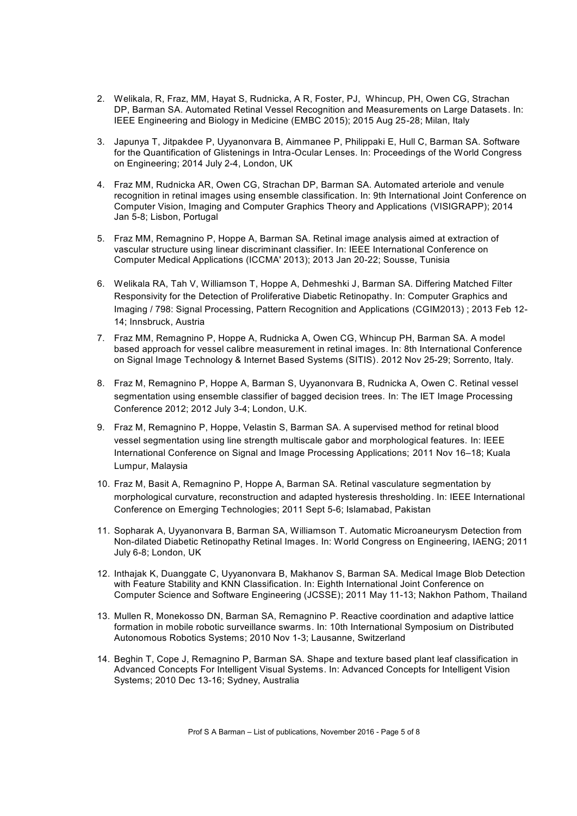- 2. Welikala, R, Fraz, MM, Hayat S, Rudnicka, A R, Foster, PJ, Whincup, PH, Owen CG, Strachan DP, Barman SA. Automated Retinal Vessel Recognition and Measurements on Large Datasets. In: IEEE Engineering and Biology in Medicine (EMBC 2015); 2015 Aug 25-28; Milan, Italy
- 3. Japunya T, Jitpakdee P, Uyyanonvara B, Aimmanee P, Philippaki E, Hull C, Barman SA. Software for the Quantification of Glistenings in Intra-Ocular Lenses. In: Proceedings of the World Congress on Engineering; 2014 July 2-4, London, UK
- 4. Fraz MM, Rudnicka AR, Owen CG, Strachan DP, Barman SA. Automated arteriole and venule recognition in retinal images using ensemble classification. In: 9th International Joint Conference on Computer Vision, Imaging and Computer Graphics Theory and Applications (VISIGRAPP); 2014 Jan 5-8; Lisbon, Portugal
- 5. Fraz MM, Remagnino P, Hoppe A, Barman SA. Retinal image analysis aimed at extraction of vascular structure using linear discriminant classifier. In: IEEE International Conference on Computer Medical Applications (ICCMA' 2013); 2013 Jan 20-22; Sousse, Tunisia
- 6. Welikala RA, Tah V, Williamson T, Hoppe A, Dehmeshki J, Barman SA. Differing Matched Filter Responsivity for the Detection of Proliferative Diabetic Retinopathy. In: Computer Graphics and Imaging / 798: Signal Processing, Pattern Recognition and Applications (CGIM2013) ; 2013 Feb 12- 14; Innsbruck, Austria
- 7. Fraz MM, Remagnino P, Hoppe A, Rudnicka A, Owen CG, Whincup PH, Barman SA. A model based approach for vessel calibre measurement in retinal images. In: 8th International Conference on Signal Image Technology & Internet Based Systems (SITIS). 2012 Nov 25-29; Sorrento, Italy.
- 8. Fraz M, Remagnino P, Hoppe A, Barman S, Uyyanonvara B, Rudnicka A, Owen C. Retinal vessel segmentation using ensemble classifier of bagged decision trees. In: The IET Image Processing Conference 2012; 2012 July 3-4; London, U.K.
- 9. Fraz M, Remagnino P, Hoppe, Velastin S, Barman SA. A supervised method for retinal blood vessel segmentation using line strength multiscale gabor and morphological features. In: IEEE International Conference on Signal and Image Processing Applications; 2011 Nov 16–18; Kuala Lumpur, Malaysia
- 10. Fraz M, Basit A, Remagnino P, Hoppe A, Barman SA. Retinal vasculature segmentation by morphological curvature, reconstruction and adapted hysteresis thresholding. In: IEEE International Conference on Emerging Technologies; 2011 Sept 5-6; Islamabad, Pakistan
- 11. Sopharak A, Uyyanonvara B, Barman SA, Williamson T. Automatic Microaneurysm Detection from Non-dilated Diabetic Retinopathy Retinal Images. In: World Congress on Engineering, IAENG; 2011 July 6-8; London, UK
- 12. Inthajak K, Duanggate C, Uyyanonvara B, Makhanov S, Barman SA. Medical Image Blob Detection with Feature Stability and KNN Classification. In: Eighth International Joint Conference on Computer Science and Software Engineering (JCSSE); 2011 May 11-13; Nakhon Pathom, Thailand
- 13. Mullen R, Monekosso DN, Barman SA, Remagnino P. Reactive coordination and adaptive lattice formation in mobile robotic surveillance swarms. In: 10th International Symposium on Distributed Autonomous Robotics Systems; 2010 Nov 1-3; Lausanne, Switzerland
- 14. Beghin T, Cope J, Remagnino P, Barman SA. Shape and texture based plant leaf classification in Advanced Concepts For Intelligent Visual Systems. In: Advanced Concepts for Intelligent Vision Systems; 2010 Dec 13-16; Sydney, Australia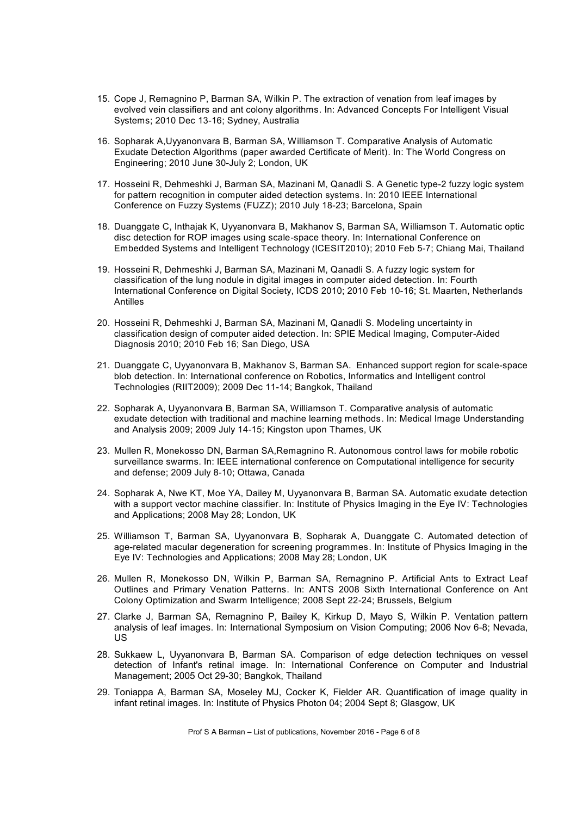- 15. Cope J, Remagnino P, Barman SA, Wilkin P. The extraction of venation from leaf images by evolved vein classifiers and ant colony algorithms. In: Advanced Concepts For Intelligent Visual Systems; 2010 Dec 13-16; Sydney, Australia
- 16. Sopharak A,Uyyanonvara B, Barman SA, Williamson T. Comparative Analysis of Automatic Exudate Detection Algorithms (paper awarded Certificate of Merit). In: The World Congress on Engineering; 2010 June 30-July 2; London, UK
- 17. Hosseini R, Dehmeshki J, Barman SA, Mazinani M, Qanadli S. A Genetic type-2 fuzzy logic system for pattern recognition in computer aided detection systems. In: 2010 IEEE International Conference on Fuzzy Systems (FUZZ); 2010 July 18-23; Barcelona, Spain
- 18. Duanggate C, Inthajak K, Uyyanonvara B, Makhanov S, Barman SA, Williamson T. Automatic optic disc detection for ROP images using scale-space theory. In: International Conference on Embedded Systems and Intelligent Technology (ICESIT2010); 2010 Feb 5-7; Chiang Mai, Thailand
- 19. Hosseini R, Dehmeshki J, Barman SA, Mazinani M, Qanadli S. A fuzzy logic system for classification of the lung nodule in digital images in computer aided detection. In: Fourth International Conference on Digital Society, ICDS 2010; 2010 Feb 10-16; St. Maarten, Netherlands Antilles
- 20. Hosseini R, Dehmeshki J, Barman SA, Mazinani M, Qanadli S. Modeling uncertainty in classification design of computer aided detection. In: SPIE Medical Imaging, Computer-Aided Diagnosis 2010; 2010 Feb 16; San Diego, USA
- 21. Duanggate C, Uyyanonvara B, Makhanov S, Barman SA. Enhanced support region for scale-space blob detection. In: International conference on Robotics, Informatics and Intelligent control Technologies (RIIT2009); 2009 Dec 11-14; Bangkok, Thailand
- 22. Sopharak A, Uyyanonvara B, Barman SA, Williamson T. Comparative analysis of automatic exudate detection with traditional and machine learning methods. In: Medical Image Understanding and Analysis 2009; 2009 July 14-15; Kingston upon Thames, UK
- 23. Mullen R, Monekosso DN, Barman SA,Remagnino R. Autonomous control laws for mobile robotic surveillance swarms. In: IEEE international conference on Computational intelligence for security and defense; 2009 July 8-10; Ottawa, Canada
- 24. Sopharak A, Nwe KT, Moe YA, Dailey M, Uyyanonvara B, Barman SA. Automatic exudate detection with a support vector machine classifier. In: Institute of Physics Imaging in the Eye IV: Technologies and Applications; 2008 May 28; London, UK
- 25. Williamson T, Barman SA, Uyyanonvara B, Sopharak A, Duanggate C. Automated detection of age-related macular degeneration for screening programmes. In: Institute of Physics Imaging in the Eye IV: Technologies and Applications; 2008 May 28; London, UK
- 26. Mullen R, Monekosso DN, Wilkin P, Barman SA, Remagnino P. Artificial Ants to Extract Leaf Outlines and Primary Venation Patterns. In: ANTS 2008 Sixth International Conference on Ant Colony Optimization and Swarm Intelligence; 2008 Sept 22-24; Brussels, Belgium
- 27. Clarke J, Barman SA, Remagnino P, Bailey K, Kirkup D, Mayo S, Wilkin P. Ventation pattern analysis of leaf images. In: International Symposium on Vision Computing; 2006 Nov 6-8; Nevada, US
- 28. Sukkaew L, Uyyanonvara B, Barman SA. Comparison of edge detection techniques on vessel detection of Infant's retinal image. In: International Conference on Computer and Industrial Management; 2005 Oct 29-30; Bangkok, Thailand
- 29. Toniappa A, Barman SA, Moseley MJ, Cocker K, Fielder AR. Quantification of image quality in infant retinal images. In: Institute of Physics Photon 04; 2004 Sept 8; Glasgow, UK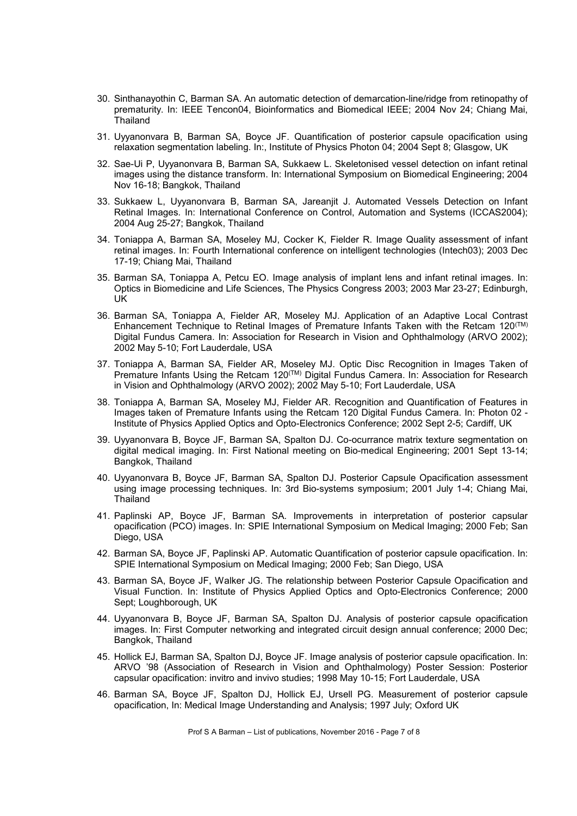- 30. Sinthanayothin C, Barman SA. An automatic detection of demarcation-line/ridge from retinopathy of prematurity. In: IEEE Tencon04, Bioinformatics and Biomedical IEEE; 2004 Nov 24; Chiang Mai, **Thailand**
- 31. Uyyanonvara B, Barman SA, Boyce JF. Quantification of posterior capsule opacification using relaxation segmentation labeling. In:, Institute of Physics Photon 04; 2004 Sept 8; Glasgow, UK
- 32. Sae-Ui P, Uyyanonvara B, Barman SA, Sukkaew L. Skeletonised vessel detection on infant retinal images using the distance transform. In: International Symposium on Biomedical Engineering; 2004 Nov 16-18; Bangkok, Thailand
- 33. Sukkaew L, Uyyanonvara B, Barman SA, Jareanjit J. Automated Vessels Detection on Infant Retinal Images*.* In: International Conference on Control, Automation and Systems (ICCAS2004); 2004 Aug 25-27; Bangkok, Thailand
- 34. Toniappa A, Barman SA, Moseley MJ, Cocker K, Fielder R. Image Quality assessment of infant retinal images. In: Fourth International conference on intelligent technologies (Intech03); 2003 Dec 17-19; Chiang Mai, Thailand
- 35. Barman SA, Toniappa A, Petcu EO. Image analysis of implant lens and infant retinal images. In: Optics in Biomedicine and Life Sciences, The Physics Congress 2003; 2003 Mar 23-27; Edinburgh, UK
- 36. Barman SA, Toniappa A, Fielder AR, Moseley MJ. Application of an Adaptive Local Contrast Enhancement Technique to Retinal Images of Premature Infants Taken with the Retcam 120<sup> $(TM)$ </sup> Digital Fundus Camera. In: Association for Research in Vision and Ophthalmology (ARVO 2002); 2002 May 5-10; Fort Lauderdale, USA
- 37. Toniappa A, Barman SA, Fielder AR, Moseley MJ. Optic Disc Recognition in Images Taken of Premature Infants Using the Retcam 120<sup>(TM)</sup> Digital Fundus Camera. In: Association for Research in Vision and Ophthalmology (ARVO 2002); 2002 May 5-10; Fort Lauderdale, USA
- 38. Toniappa A, Barman SA, Moseley MJ, Fielder AR. Recognition and Quantification of Features in Images taken of Premature Infants using the Retcam 120 Digital Fundus Camera. In: Photon 02 - Institute of Physics Applied Optics and Opto-Electronics Conference; 2002 Sept 2-5; Cardiff, UK
- 39. Uyyanonvara B, Boyce JF, Barman SA, Spalton DJ. Co-ocurrance matrix texture segmentation on digital medical imaging. In: First National meeting on Bio-medical Engineering; 2001 Sept 13-14; Bangkok, Thailand
- 40. Uyyanonvara B, Boyce JF, Barman SA, Spalton DJ. Posterior Capsule Opacification assessment using image processing techniques. In: 3rd Bio-systems symposium; 2001 July 1-4; Chiang Mai, Thailand
- 41. Paplinski AP, Boyce JF, Barman SA. Improvements in interpretation of posterior capsular opacification (PCO) images. In: SPIE International Symposium on Medical Imaging; 2000 Feb; San Diego, USA
- 42. Barman SA, Boyce JF, Paplinski AP. Automatic Quantification of posterior capsule opacification. In: SPIE International Symposium on Medical Imaging; 2000 Feb; San Diego, USA
- 43. Barman SA, Boyce JF, Walker JG. The relationship between Posterior Capsule Opacification and Visual Function. In: Institute of Physics Applied Optics and Opto-Electronics Conference; 2000 Sept; Loughborough, UK
- 44. Uyyanonvara B, Boyce JF, Barman SA, Spalton DJ. Analysis of posterior capsule opacification images. In: First Computer networking and integrated circuit design annual conference; 2000 Dec; Bangkok, Thailand
- 45. Hollick EJ, Barman SA, Spalton DJ, Boyce JF. Image analysis of posterior capsule opacification. In: ARVO '98 (Association of Research in Vision and Ophthalmology) Poster Session: Posterior capsular opacification: invitro and invivo studies; 1998 May 10-15; Fort Lauderdale, USA
- 46. Barman SA, Boyce JF, Spalton DJ, Hollick EJ, Ursell PG. Measurement of posterior capsule opacification, In: Medical Image Understanding and Analysis; 1997 July; Oxford UK